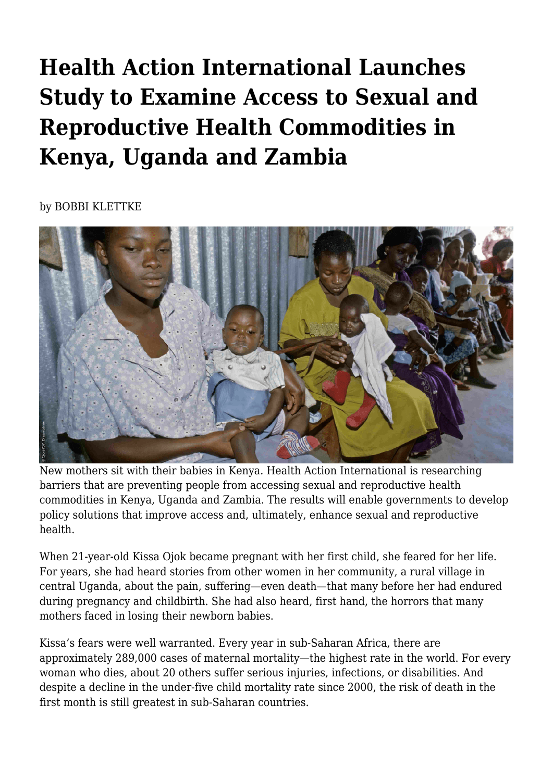## **Health Action International Launches Study to Examine Access to Sexual and Reproductive Health Commodities in Kenya, Uganda and Zambia**

by BOBBI KLETTKE



New mothers sit with their babies in Kenya. Health Action International is researching barriers that are preventing people from accessing sexual and reproductive health commodities in Kenya, Uganda and Zambia. The results will enable governments to develop policy solutions that improve access and, ultimately, enhance sexual and reproductive health.

When 21-year-old Kissa Ojok became pregnant with her first child, she feared for her life. For years, she had heard stories from other women in her community, a rural village in central Uganda, about the pain, suffering—even death—that many before her had endured during pregnancy and childbirth. She had also heard, first hand, the horrors that many mothers faced in losing their newborn babies.

Kissa's fears were well warranted. Every year in sub-Saharan Africa, there are approximately 289,000 cases of maternal mortality—the highest rate in the world. For every woman who dies, about 20 others suffer serious injuries, infections, or disabilities. And despite a decline in the under-five child mortality rate since 2000, the risk of death in the first month is still greatest in sub-Saharan countries.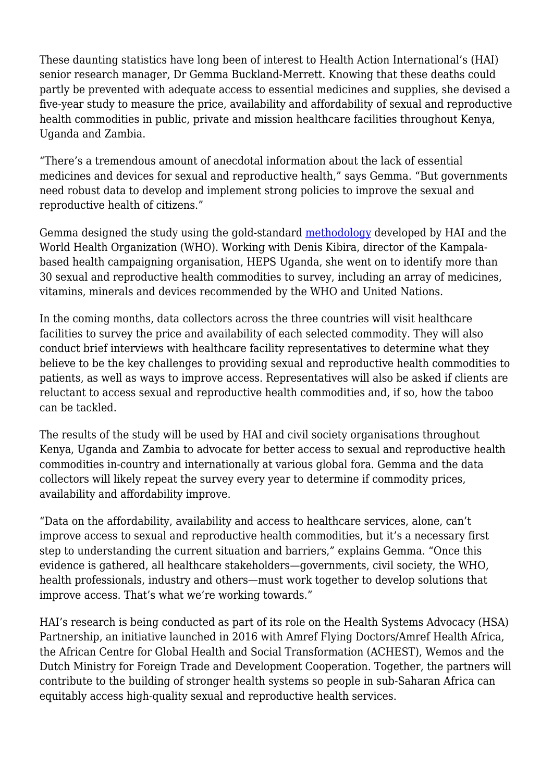These daunting statistics have long been of interest to Health Action International's (HAI) senior research manager, Dr Gemma Buckland-Merrett. Knowing that these deaths could partly be prevented with adequate access to essential medicines and supplies, she devised a five-year study to measure the price, availability and affordability of sexual and reproductive health commodities in public, private and mission healthcare facilities throughout Kenya, Uganda and Zambia.

"There's a tremendous amount of anecdotal information about the lack of essential medicines and devices for sexual and reproductive health," says Gemma. "But governments need robust data to develop and implement strong policies to improve the sexual and reproductive health of citizens."

Gemma designed the study using the gold-standard [methodology](http://haiweb.org/price-availability-affordability/collecting-evidence-on-medicine-prices-availability/) developed by HAI and the World Health Organization (WHO). Working with Denis Kibira, director of the Kampalabased health campaigning organisation, HEPS Uganda, she went on to identify more than 30 sexual and reproductive health commodities to survey, including an array of medicines, vitamins, minerals and devices recommended by the WHO and United Nations.

In the coming months, data collectors across the three countries will visit healthcare facilities to survey the price and availability of each selected commodity. They will also conduct brief interviews with healthcare facility representatives to determine what they believe to be the key challenges to providing sexual and reproductive health commodities to patients, as well as ways to improve access. Representatives will also be asked if clients are reluctant to access sexual and reproductive health commodities and, if so, how the taboo can be tackled.

The results of the study will be used by HAI and civil society organisations throughout Kenya, Uganda and Zambia to advocate for better access to sexual and reproductive health commodities in-country and internationally at various global fora. Gemma and the data collectors will likely repeat the survey every year to determine if commodity prices, availability and affordability improve.

"Data on the affordability, availability and access to healthcare services, alone, can't improve access to sexual and reproductive health commodities, but it's a necessary first step to understanding the current situation and barriers," explains Gemma. "Once this evidence is gathered, all healthcare stakeholders—governments, civil society, the WHO, health professionals, industry and others—must work together to develop solutions that improve access. That's what we're working towards."

HAI's research is being conducted as part of its role on the Health Systems Advocacy (HSA) Partnership, an initiative launched in 2016 with Amref Flying Doctors/Amref Health Africa, the African Centre for Global Health and Social Transformation (ACHEST), Wemos and the Dutch Ministry for Foreign Trade and Development Cooperation. Together, the partners will contribute to the building of stronger health systems so people in sub-Saharan Africa can equitably access high-quality sexual and reproductive health services.